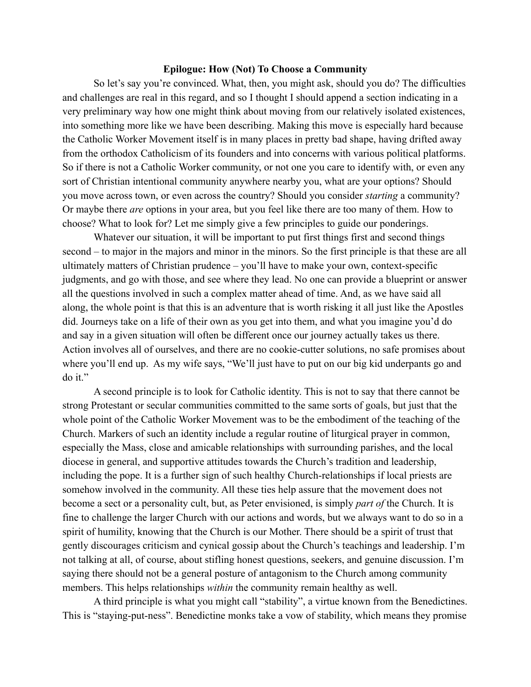## **Epilogue: How (Not) To Choose a Community**

So let's say you're convinced. What, then, you might ask, should you do? The difficulties and challenges are real in this regard, and so I thought I should append a section indicating in a very preliminary way how one might think about moving from our relatively isolated existences, into something more like we have been describing. Making this move is especially hard because the Catholic Worker Movement itself is in many places in pretty bad shape, having drifted away from the orthodox Catholicism of its founders and into concerns with various political platforms. So if there is not a Catholic Worker community, or not one you care to identify with, or even any sort of Christian intentional community anywhere nearby you, what are your options? Should you move across town, or even across the country? Should you consider *starting* a community? Or maybe there *are* options in your area, but you feel like there are too many of them. How to choose? What to look for? Let me simply give a few principles to guide our ponderings.

Whatever our situation, it will be important to put first things first and second things second – to major in the majors and minor in the minors. So the first principle is that these are all ultimately matters of Christian prudence – you'll have to make your own, context-specific judgments, and go with those, and see where they lead. No one can provide a blueprint or answer all the questions involved in such a complex matter ahead of time. And, as we have said all along, the whole point is that this is an adventure that is worth risking it all just like the Apostles did. Journeys take on a life of their own as you get into them, and what you imagine you'd do and say in a given situation will often be different once our journey actually takes us there. Action involves all of ourselves, and there are no cookie-cutter solutions, no safe promises about where you'll end up. As my wife says, "We'll just have to put on our big kid underpants go and do it."

A second principle is to look for Catholic identity. This is not to say that there cannot be strong Protestant or secular communities committed to the same sorts of goals, but just that the whole point of the Catholic Worker Movement was to be the embodiment of the teaching of the Church. Markers of such an identity include a regular routine of liturgical prayer in common, especially the Mass, close and amicable relationships with surrounding parishes, and the local diocese in general, and supportive attitudes towards the Church's tradition and leadership, including the pope. It is a further sign of such healthy Church-relationships if local priests are somehow involved in the community. All these ties help assure that the movement does not become a sect or a personality cult, but, as Peter envisioned, is simply *part of* the Church. It is fine to challenge the larger Church with our actions and words, but we always want to do so in a spirit of humility, knowing that the Church is our Mother. There should be a spirit of trust that gently discourages criticism and cynical gossip about the Church's teachings and leadership. I'm not talking at all, of course, about stifling honest questions, seekers, and genuine discussion. I'm saying there should not be a general posture of antagonism to the Church among community members. This helps relationships *within* the community remain healthy as well.

A third principle is what you might call "stability", a virtue known from the Benedictines. This is "staying-put-ness". Benedictine monks take a vow of stability, which means they promise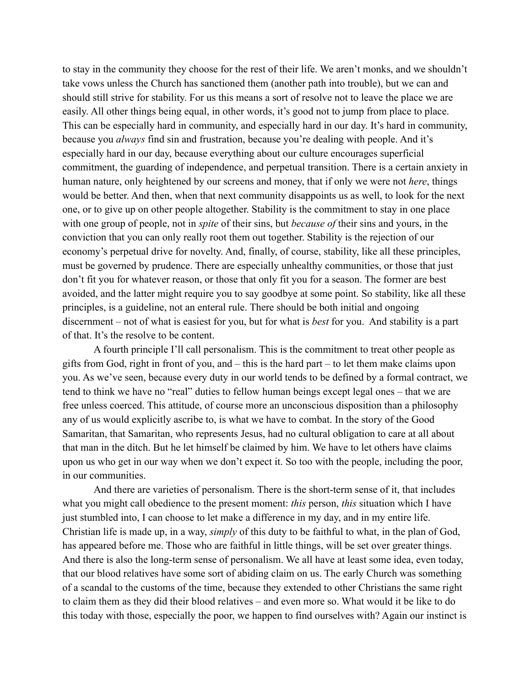to stay in the community they choose for the rest of their life. We aren't monks, and we shouldn't take vows unless the Church has sanctioned them (another path into trouble), but we can and should still strive for stability. For us this means a sort of resolve not to leave the place we are easily. All other things being equal, in other words, it's good not to jump from place to place. This can be especially hard in community, and especially hard in our day. It's hard in community, because you *always* find sin and frustration, because you're dealing with people. And it's especially hard in our day, because everything about our culture encourages superficial commitment, the guarding of independence, and perpetual transition. There is a certain anxiety in human nature, only heightened by our screens and money, that if only we were not *here*, things would be better. And then, when that next community disappoints us as well, to look for the next one, or to give up on other people altogether. Stability is the commitment to stay in one place with one group of people, not in *spite* of their sins, but *because of* their sins and yours, in the conviction that you can only really root them out together. Stability is the rejection of our economy's perpetual drive for novelty. And, finally, of course, stability, like all these principles, must be governed by prudence. There are especially unhealthy communities, or those that just don't fit you for whatever reason, or those that only fit you for a season. The former are best avoided, and the latter might require you to say goodbye at some point. So stability, like all these principles, is a guideline, not an enteral rule. There should be both initial and ongoing discernment – not of what is easiest for you, but for what is *best* for you. And stability is a part of that. It's the resolve to be content.

A fourth principle I'll call personalism. This is the commitment to treat other people as gifts from God, right in front of you, and  $-$  this is the hard part  $-$  to let them make claims upon you. As we've seen, because every duty in our world tends to be defined by a formal contract, we tend to think we have no "real" duties to fellow human beings except legal ones – that we are free unless coerced. This attitude, of course more an unconscious disposition than a philosophy any of us would explicitly ascribe to, is what we have to combat. In the story of the Good Samaritan, that Samaritan, who represents Jesus, had no cultural obligation to care at all about that man in the ditch. But he let himself be claimed by him. We have to let others have claims upon us who get in our way when we don't expect it. So too with the people, including the poor, in our communities.

And there are varieties of personalism. There is the short-term sense of it, that includes what you might call obedience to the present moment: *this* person, *this* situation which I have just stumbled into, I can choose to let make a difference in my day, and in my entire life. Christian life is made up, in a way, *simply* of this duty to be faithful to what, in the plan of God, has appeared before me. Those who are faithful in little things, will be set over greater things. And there is also the long-term sense of personalism. We all have at least some idea, even today, that our blood relatives have some sort of abiding claim on us. The early Church was something of a scandal to the customs of the time, because they extended to other Christians the same right to claim them as they did their blood relatives – and even more so. What would it be like to do this today with those, especially the poor, we happen to find ourselves with? Again our instinct is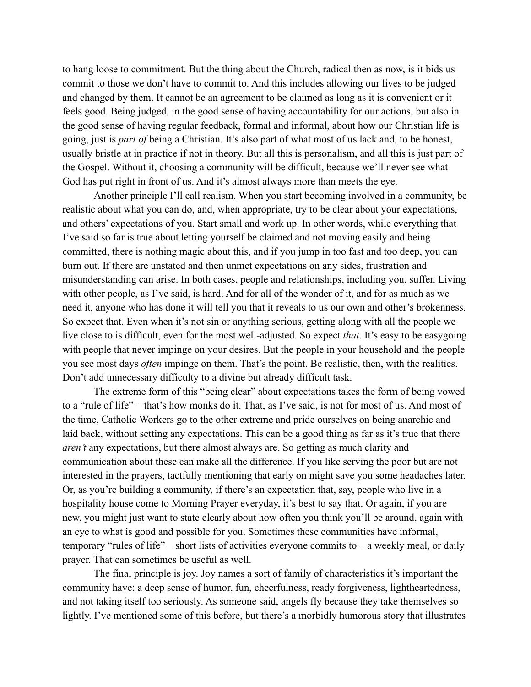to hang loose to commitment. But the thing about the Church, radical then as now, is it bids us commit to those we don't have to commit to. And this includes allowing our lives to be judged and changed by them. It cannot be an agreement to be claimed as long as it is convenient or it feels good. Being judged, in the good sense of having accountability for our actions, but also in the good sense of having regular feedback, formal and informal, about how our Christian life is going, just is *part of* being a Christian. It's also part of what most of us lack and, to be honest, usually bristle at in practice if not in theory. But all this is personalism, and all this is just part of the Gospel. Without it, choosing a community will be difficult, because we'll never see what God has put right in front of us. And it's almost always more than meets the eye.

Another principle I'll call realism. When you start becoming involved in a community, be realistic about what you can do, and, when appropriate, try to be clear about your expectations, and others' expectations of you. Start small and work up. In other words, while everything that I've said so far is true about letting yourself be claimed and not moving easily and being committed, there is nothing magic about this, and if you jump in too fast and too deep, you can burn out. If there are unstated and then unmet expectations on any sides, frustration and misunderstanding can arise. In both cases, people and relationships, including you, suffer. Living with other people, as I've said, is hard. And for all of the wonder of it, and for as much as we need it, anyone who has done it will tell you that it reveals to us our own and other's brokenness. So expect that. Even when it's not sin or anything serious, getting along with all the people we live close to is difficult, even for the most well-adjusted. So expect *that*. It's easy to be easygoing with people that never impinge on your desires. But the people in your household and the people you see most days *often* impinge on them. That's the point. Be realistic, then, with the realities. Don't add unnecessary difficulty to a divine but already difficult task.

The extreme form of this "being clear" about expectations takes the form of being vowed to a "rule of life" – that's how monks do it. That, as I've said, is not for most of us. And most of the time, Catholic Workers go to the other extreme and pride ourselves on being anarchic and laid back, without setting any expectations. This can be a good thing as far as it's true that there *aren't* any expectations, but there almost always are. So getting as much clarity and communication about these can make all the difference. If you like serving the poor but are not interested in the prayers, tactfully mentioning that early on might save you some headaches later. Or, as you're building a community, if there's an expectation that, say, people who live in a hospitality house come to Morning Prayer everyday, it's best to say that. Or again, if you are new, you might just want to state clearly about how often you think you'll be around, again with an eye to what is good and possible for you. Sometimes these communities have informal, temporary "rules of life" – short lists of activities everyone commits to – a weekly meal, or daily prayer. That can sometimes be useful as well.

The final principle is joy. Joy names a sort of family of characteristics it's important the community have: a deep sense of humor, fun, cheerfulness, ready forgiveness, lightheartedness, and not taking itself too seriously. As someone said, angels fly because they take themselves so lightly. I've mentioned some of this before, but there's a morbidly humorous story that illustrates